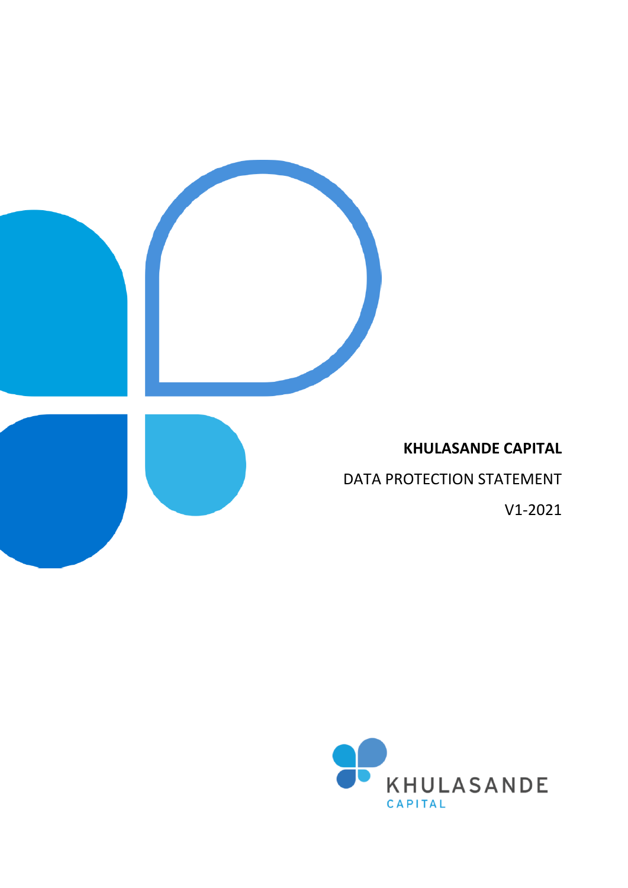

## **KHULASANDE CAPITAL**

DATA PROTECTION STATEMENT

V1-2021

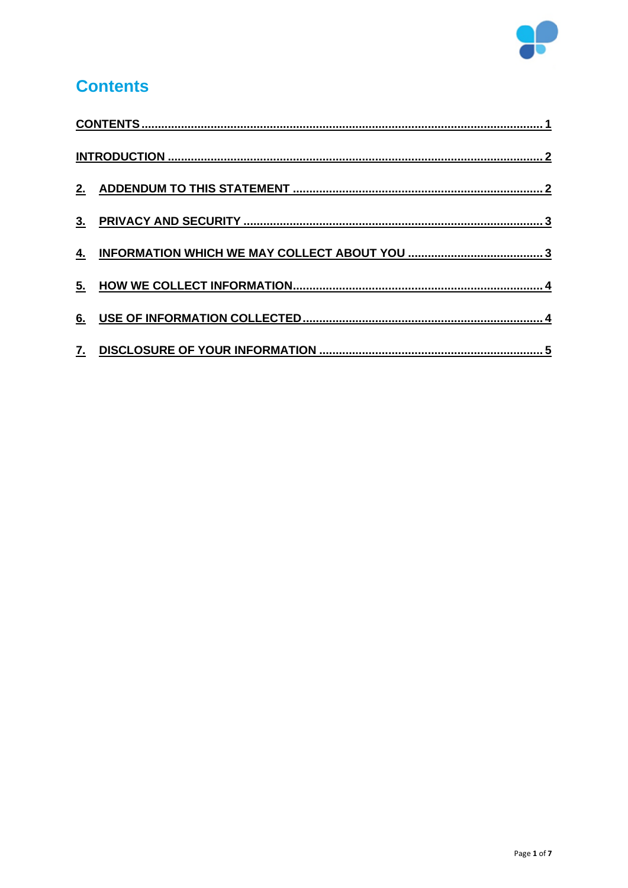

# <span id="page-1-0"></span>**Contents**

| 5. |  |
|----|--|
| 6. |  |
|    |  |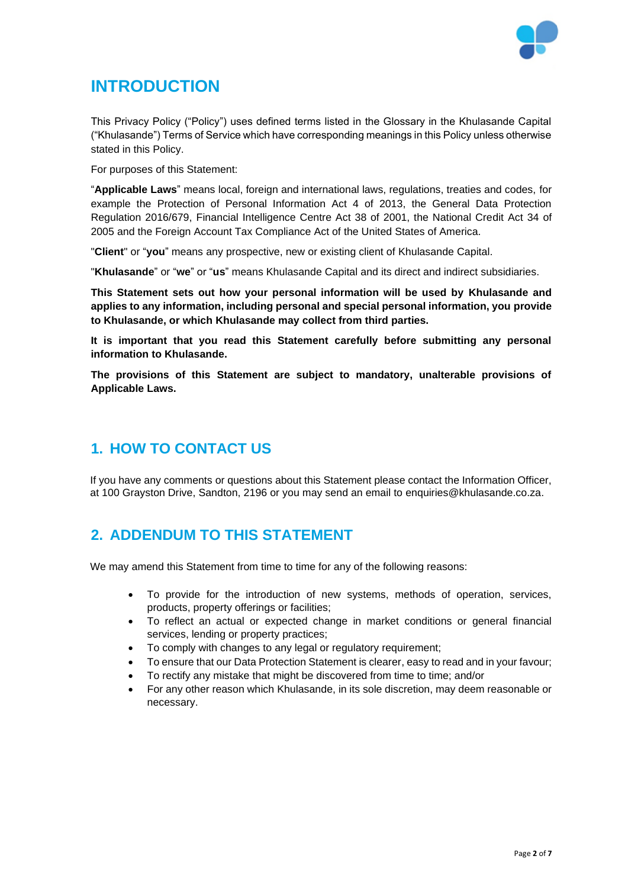

# <span id="page-2-0"></span>**INTRODUCTION**

This Privacy Policy ("Policy") uses defined terms listed in the Glossary in the Khulasande Capital ("Khulasande") Terms of Service which have corresponding meanings in this Policy unless otherwise stated in this Policy.

For purposes of this Statement:

"**Applicable Laws**" means local, foreign and international laws, regulations, treaties and codes, for example the Protection of Personal Information Act 4 of 2013, the General Data Protection Regulation 2016/679, Financial Intelligence Centre Act 38 of 2001, the National Credit Act 34 of 2005 and the Foreign Account Tax Compliance Act of the United States of America.

"**Client**" or "**you**" means any prospective, new or existing client of Khulasande Capital.

"**Khulasande**" or "**we**" or "**us**" means Khulasande Capital and its direct and indirect subsidiaries.

**This Statement sets out how your personal information will be used by Khulasande and applies to any information, including personal and special personal information, you provide to Khulasande, or which Khulasande may collect from third parties.**

**It is important that you read this Statement carefully before submitting any personal information to Khulasande.**

**The provisions of this Statement are subject to mandatory, unalterable provisions of Applicable Laws.**

### **1. HOW TO CONTACT US**

If you have any comments or questions about this Statement please contact the Information Officer, at 100 Grayston Drive, Sandton, 2196 or you may send an email to [enquiries@khulasande.co.za.](mailto:enquiries@khulasande.co.za)

#### <span id="page-2-1"></span>**2. ADDENDUM TO THIS STATEMENT**

We may amend this Statement from time to time for any of the following reasons:

- To provide for the introduction of new systems, methods of operation, services, products, property offerings or facilities;
- To reflect an actual or expected change in market conditions or general financial services, lending or property practices;
- To comply with changes to any legal or regulatory requirement;
- To ensure that our Data Protection Statement is clearer, easy to read and in your favour;
- To rectify any mistake that might be discovered from time to time; and/or
- For any other reason which Khulasande, in its sole discretion, may deem reasonable or necessary.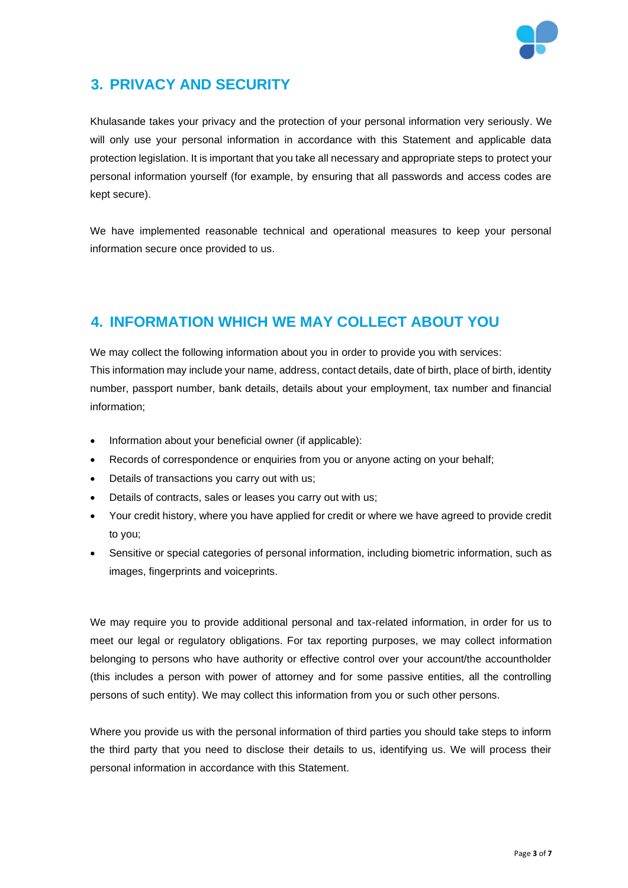

## <span id="page-3-0"></span>**3. PRIVACY AND SECURITY**

Khulasande takes your privacy and the protection of your personal information very seriously. We will only use your personal information in accordance with this Statement and applicable data protection legislation. It is important that you take all necessary and appropriate steps to protect your personal information yourself (for example, by ensuring that all passwords and access codes are kept secure).

We have implemented reasonable technical and operational measures to keep your personal information secure once provided to us.

#### <span id="page-3-1"></span>**4. INFORMATION WHICH WE MAY COLLECT ABOUT YOU**

We may collect the following information about you in order to provide you with services: This information may include your name, address, contact details, date of birth, place of birth, identity number, passport number, bank details, details about your employment, tax number and financial information;

- Information about your beneficial owner (if applicable):
- Records of correspondence or enquiries from you or anyone acting on your behalf;
- Details of transactions you carry out with us;
- Details of contracts, sales or leases you carry out with us;
- Your credit history, where you have applied for credit or where we have agreed to provide credit to you;
- Sensitive or special categories of personal information, including biometric information, such as images, fingerprints and voiceprints.

We may require you to provide additional personal and tax-related information, in order for us to meet our legal or regulatory obligations. For tax reporting purposes, we may collect information belonging to persons who have authority or effective control over your account/the accountholder (this includes a person with power of attorney and for some passive entities, all the controlling persons of such entity). We may collect this information from you or such other persons.

Where you provide us with the personal information of third parties you should take steps to inform the third party that you need to disclose their details to us, identifying us. We will process their personal information in accordance with this Statement.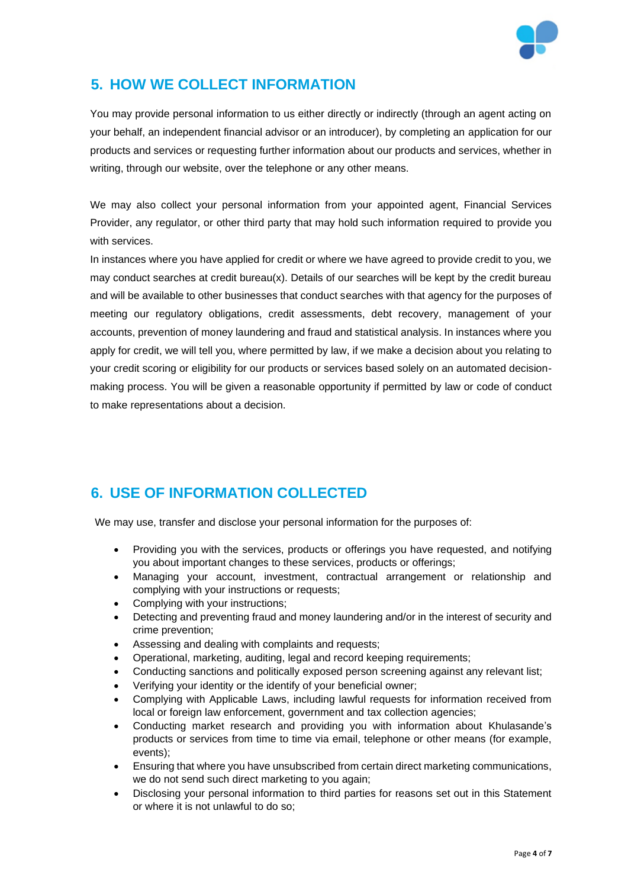

### <span id="page-4-0"></span>**5. HOW WE COLLECT INFORMATION**

You may provide personal information to us either directly or indirectly (through an agent acting on your behalf, an independent financial advisor or an introducer), by completing an application for our products and services or requesting further information about our products and services, whether in writing, through our website, over the telephone or any other means.

We may also collect your personal information from your appointed agent, Financial Services Provider, any regulator, or other third party that may hold such information required to provide you with services.

In instances where you have applied for credit or where we have agreed to provide credit to you, we may conduct searches at credit bureau(x). Details of our searches will be kept by the credit bureau and will be available to other businesses that conduct searches with that agency for the purposes of meeting our regulatory obligations, credit assessments, debt recovery, management of your accounts, prevention of money laundering and fraud and statistical analysis. In instances where you apply for credit, we will tell you, where permitted by law, if we make a decision about you relating to your credit scoring or eligibility for our products or services based solely on an automated decisionmaking process. You will be given a reasonable opportunity if permitted by law or code of conduct to make representations about a decision.

## <span id="page-4-1"></span>**6. USE OF INFORMATION COLLECTED**

We may use, transfer and disclose your personal information for the purposes of:

- Providing you with the services, products or offerings you have requested, and notifying you about important changes to these services, products or offerings;
- Managing your account, investment, contractual arrangement or relationship and complying with your instructions or requests;
- Complying with your instructions;
- Detecting and preventing fraud and money laundering and/or in the interest of security and crime prevention;
- Assessing and dealing with complaints and requests:
- Operational, marketing, auditing, legal and record keeping requirements;
- Conducting sanctions and politically exposed person screening against any relevant list;
- Verifying your identity or the identify of your beneficial owner;
- Complying with Applicable Laws, including lawful requests for information received from local or foreign law enforcement, government and tax collection agencies;
- Conducting market research and providing you with information about Khulasande's products or services from time to time via email, telephone or other means (for example, events);
- Ensuring that where you have unsubscribed from certain direct marketing communications, we do not send such direct marketing to you again;
- Disclosing your personal information to third parties for reasons set out in this Statement or where it is not unlawful to do so;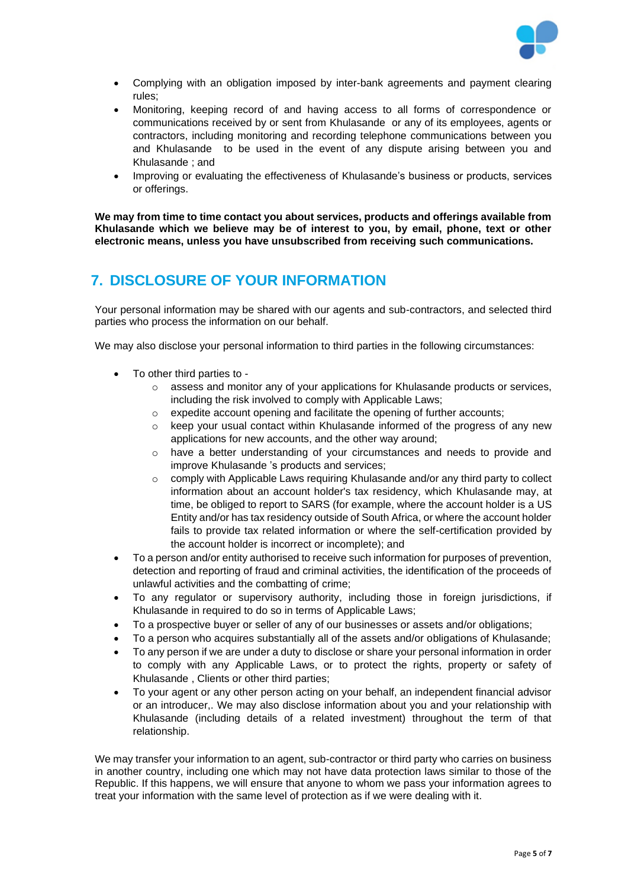

- Complying with an obligation imposed by inter-bank agreements and payment clearing rules;
- Monitoring, keeping record of and having access to all forms of correspondence or communications received by or sent from Khulasande or any of its employees, agents or contractors, including monitoring and recording telephone communications between you and Khulasande to be used in the event of any dispute arising between you and Khulasande ; and
- Improving or evaluating the effectiveness of Khulasande's business or products, services or offerings.

**We may from time to time contact you about services, products and offerings available from Khulasande which we believe may be of interest to you, by email, phone, text or other electronic means, unless you have unsubscribed from receiving such communications.**

#### <span id="page-5-0"></span>**7. DISCLOSURE OF YOUR INFORMATION**

Your personal information may be shared with our agents and sub-contractors, and selected third parties who process the information on our behalf.

We may also disclose your personal information to third parties in the following circumstances:

- To other third parties to
	- $\circ$  assess and monitor any of your applications for Khulasande products or services, including the risk involved to comply with Applicable Laws;
	- o expedite account opening and facilitate the opening of further accounts;
	- keep your usual contact within Khulasande informed of the progress of any new applications for new accounts, and the other way around;
	- o have a better understanding of your circumstances and needs to provide and improve Khulasande 's products and services;
	- o comply with Applicable Laws requiring Khulasande and/or any third party to collect information about an account holder's tax residency, which Khulasande may, at time, be obliged to report to SARS (for example, where the account holder is a US Entity and/or has tax residency outside of South Africa, or where the account holder fails to provide tax related information or where the self-certification provided by the account holder is incorrect or incomplete); and
- To a person and/or entity authorised to receive such information for purposes of prevention, detection and reporting of fraud and criminal activities, the identification of the proceeds of unlawful activities and the combatting of crime;
- To any regulator or supervisory authority, including those in foreign jurisdictions, if Khulasande in required to do so in terms of Applicable Laws;
- To a prospective buyer or seller of any of our businesses or assets and/or obligations;
- To a person who acquires substantially all of the assets and/or obligations of Khulasande;
- To any person if we are under a duty to disclose or share your personal information in order to comply with any Applicable Laws, or to protect the rights, property or safety of Khulasande , Clients or other third parties;
- To your agent or any other person acting on your behalf, an independent financial advisor or an introducer,. We may also disclose information about you and your relationship with Khulasande (including details of a related investment) throughout the term of that relationship.

We may transfer your information to an agent, sub-contractor or third party who carries on business in another country, including one which may not have data protection laws similar to those of the Republic. If this happens, we will ensure that anyone to whom we pass your information agrees to treat your information with the same level of protection as if we were dealing with it.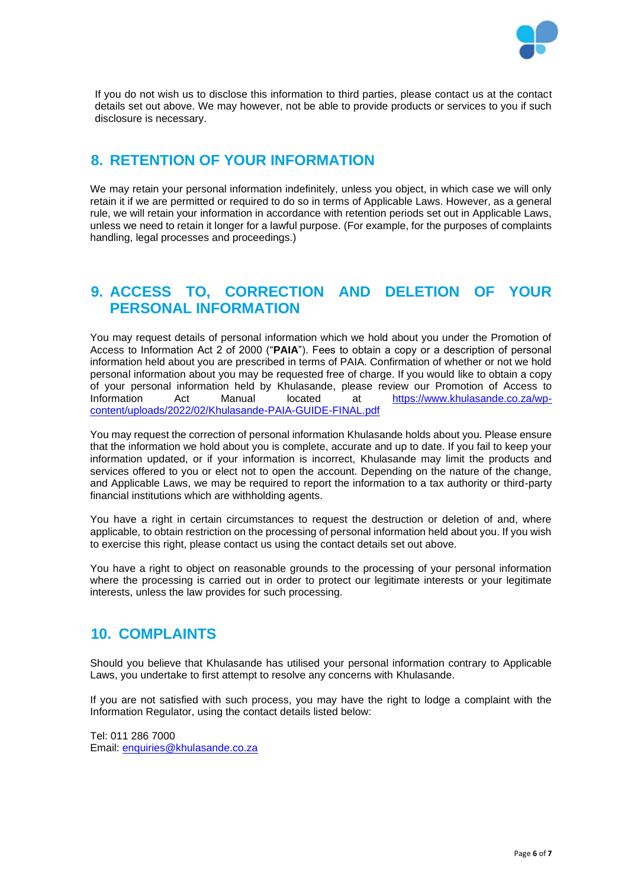

If you do not wish us to disclose this information to third parties, please contact us at the contact details set out above. We may however, not be able to provide products or services to you if such disclosure is necessary.

#### **8. RETENTION OF YOUR INFORMATION**

We may retain your personal information indefinitely, unless you object, in which case we will only retain it if we are permitted or required to do so in terms of Applicable Laws. However, as a general rule, we will retain your information in accordance with retention periods set out in Applicable Laws, unless we need to retain it longer for a lawful purpose. (For example, for the purposes of complaints handling, legal processes and proceedings.)

#### **9. ACCESS TO, CORRECTION AND DELETION OF YOUR PERSONAL INFORMATION**

You may request details of personal information which we hold about you under the Promotion of Access to Information Act 2 of 2000 ("**PAIA**"). Fees to obtain a copy or a description of personal information held about you are prescribed in terms of PAIA. Confirmation of whether or not we hold personal information about you may be requested free of charge. If you would like to obtain a copy of your personal information held by Khulasande, please review our Promotion of Access to<br>Information and Manual located at https://www.khulasande.co.za/wpInformation Act Manual located at [https://www.khulasande.co.za/wp](https://www.khulasande.co.za/wp-content/uploads/2022/02/Khulasande-PAIA-GUIDE-FINAL.pdf)[content/uploads/2022/02/Khulasande-PAIA-GUIDE-FINAL.pdf](https://www.khulasande.co.za/wp-content/uploads/2022/02/Khulasande-PAIA-GUIDE-FINAL.pdf)

You may request the correction of personal information Khulasande holds about you. Please ensure that the information we hold about you is complete, accurate and up to date. If you fail to keep your information updated, or if your information is incorrect, Khulasande may limit the products and services offered to you or elect not to open the account. Depending on the nature of the change, and Applicable Laws, we may be required to report the information to a tax authority or third-party financial institutions which are withholding agents.

You have a right in certain circumstances to request the destruction or deletion of and, where applicable, to obtain restriction on the processing of personal information held about you. If you wish to exercise this right, please contact us using the contact details set out above.

You have a right to object on reasonable grounds to the processing of your personal information where the processing is carried out in order to protect our legitimate interests or your legitimate interests, unless the law provides for such processing.

#### **10. COMPLAINTS**

Should you believe that Khulasande has utilised your personal information contrary to Applicable Laws, you undertake to first attempt to resolve any concerns with Khulasande.

If you are not satisfied with such process, you may have the right to lodge a complaint with the Information Regulator, using the contact details listed below:

Tel: 011 286 7000 Email: [enquiries@khulasande.co.za](mailto:enquiries@khulasande.co.za)